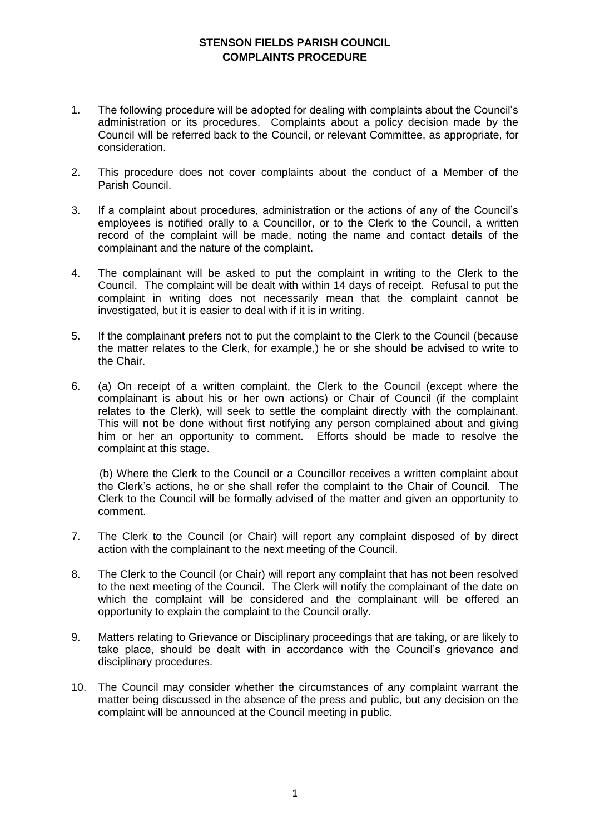## **STENSON FIELDS PARISH COUNCIL COMPLAINTS PROCEDURE**

- 1. The following procedure will be adopted for dealing with complaints about the Council's administration or its procedures. Complaints about a policy decision made by the Council will be referred back to the Council, or relevant Committee, as appropriate, for consideration.
- 2. This procedure does not cover complaints about the conduct of a Member of the Parish Council.
- 3. If a complaint about procedures, administration or the actions of any of the Council's employees is notified orally to a Councillor, or to the Clerk to the Council, a written record of the complaint will be made, noting the name and contact details of the complainant and the nature of the complaint.
- 4. The complainant will be asked to put the complaint in writing to the Clerk to the Council. The complaint will be dealt with within 14 days of receipt. Refusal to put the complaint in writing does not necessarily mean that the complaint cannot be investigated, but it is easier to deal with if it is in writing.
- 5. If the complainant prefers not to put the complaint to the Clerk to the Council (because the matter relates to the Clerk, for example,) he or she should be advised to write to the Chair.
- 6. (a) On receipt of a written complaint, the Clerk to the Council (except where the complainant is about his or her own actions) or Chair of Council (if the complaint relates to the Clerk), will seek to settle the complaint directly with the complainant. This will not be done without first notifying any person complained about and giving him or her an opportunity to comment. Efforts should be made to resolve the complaint at this stage.

(b) Where the Clerk to the Council or a Councillor receives a written complaint about the Clerk's actions, he or she shall refer the complaint to the Chair of Council. The Clerk to the Council will be formally advised of the matter and given an opportunity to comment.

- 7. The Clerk to the Council (or Chair) will report any complaint disposed of by direct action with the complainant to the next meeting of the Council.
- 8. The Clerk to the Council (or Chair) will report any complaint that has not been resolved to the next meeting of the Council. The Clerk will notify the complainant of the date on which the complaint will be considered and the complainant will be offered an opportunity to explain the complaint to the Council orally.
- 9. Matters relating to Grievance or Disciplinary proceedings that are taking, or are likely to take place, should be dealt with in accordance with the Council's grievance and disciplinary procedures.
- 10. The Council may consider whether the circumstances of any complaint warrant the matter being discussed in the absence of the press and public, but any decision on the complaint will be announced at the Council meeting in public.